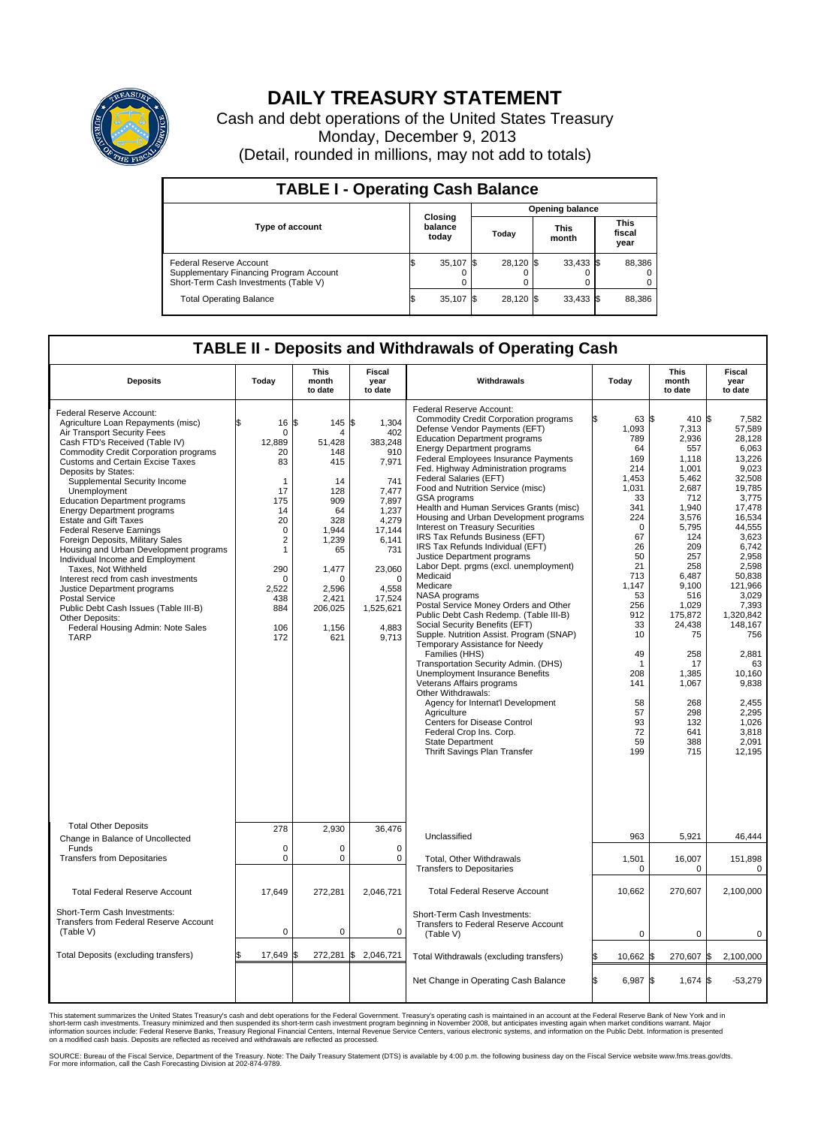

## **DAILY TREASURY STATEMENT**

Cash and debt operations of the United States Treasury Monday, December 9, 2013 (Detail, rounded in millions, may not add to totals)

| <b>TABLE I - Operating Cash Balance</b>                                                                     |    |                             |  |                        |  |                      |  |                               |  |  |  |
|-------------------------------------------------------------------------------------------------------------|----|-----------------------------|--|------------------------|--|----------------------|--|-------------------------------|--|--|--|
|                                                                                                             |    | Closing<br>balance<br>today |  | <b>Opening balance</b> |  |                      |  |                               |  |  |  |
| <b>Type of account</b>                                                                                      |    |                             |  | Today                  |  | <b>This</b><br>month |  | <b>This</b><br>fiscal<br>year |  |  |  |
| Federal Reserve Account<br>Supplementary Financing Program Account<br>Short-Term Cash Investments (Table V) |    | 35,107 \$                   |  | 28,120 \$              |  | $33,433$ \$          |  | 88,386                        |  |  |  |
| <b>Total Operating Balance</b>                                                                              | ıъ | $35,107$ \$                 |  | 28,120 \$              |  | $33,433$ \$          |  | 88,386                        |  |  |  |

## **TABLE II - Deposits and Withdrawals of Operating Cash**

| <b>Deposits</b>                                                                                                                                                                                                                                                                                                                                                                                                                                                                                                                                                                                                                                                                                                                                                                                    | Today                                                                                                                                                                                            | <b>This</b><br>month<br>to date                                                                                                                             | <b>Fiscal</b><br>year<br>to date                                                                                                                                                           | Withdrawals                                                                                                                                                                                                                                                                                                                                                                                                                                                                                                                                                                                                                                                                                                                                                                                                                                                                                                                                                                                                                                                                                                                                                                                                     | Today                                                                                                                                                                                                                                          | <b>This</b><br>month<br>to date                                                                                                                                                                                                                                       | <b>Fiscal</b><br>year<br>to date                                                                                                                                                                                                                                                                                    |
|----------------------------------------------------------------------------------------------------------------------------------------------------------------------------------------------------------------------------------------------------------------------------------------------------------------------------------------------------------------------------------------------------------------------------------------------------------------------------------------------------------------------------------------------------------------------------------------------------------------------------------------------------------------------------------------------------------------------------------------------------------------------------------------------------|--------------------------------------------------------------------------------------------------------------------------------------------------------------------------------------------------|-------------------------------------------------------------------------------------------------------------------------------------------------------------|--------------------------------------------------------------------------------------------------------------------------------------------------------------------------------------------|-----------------------------------------------------------------------------------------------------------------------------------------------------------------------------------------------------------------------------------------------------------------------------------------------------------------------------------------------------------------------------------------------------------------------------------------------------------------------------------------------------------------------------------------------------------------------------------------------------------------------------------------------------------------------------------------------------------------------------------------------------------------------------------------------------------------------------------------------------------------------------------------------------------------------------------------------------------------------------------------------------------------------------------------------------------------------------------------------------------------------------------------------------------------------------------------------------------------|------------------------------------------------------------------------------------------------------------------------------------------------------------------------------------------------------------------------------------------------|-----------------------------------------------------------------------------------------------------------------------------------------------------------------------------------------------------------------------------------------------------------------------|---------------------------------------------------------------------------------------------------------------------------------------------------------------------------------------------------------------------------------------------------------------------------------------------------------------------|
| Federal Reserve Account:<br>Agriculture Loan Repayments (misc)<br>Air Transport Security Fees<br>Cash FTD's Received (Table IV)<br><b>Commodity Credit Corporation programs</b><br>Customs and Certain Excise Taxes<br>Deposits by States:<br>Supplemental Security Income<br>Unemployment<br><b>Education Department programs</b><br><b>Energy Department programs</b><br><b>Estate and Gift Taxes</b><br><b>Federal Reserve Earnings</b><br>Foreign Deposits, Military Sales<br>Housing and Urban Development programs<br>Individual Income and Employment<br>Taxes, Not Withheld<br>Interest recd from cash investments<br>Justice Department programs<br><b>Postal Service</b><br>Public Debt Cash Issues (Table III-B)<br>Other Deposits:<br>Federal Housing Admin: Note Sales<br><b>TARP</b> | 16<br>\$<br>$\mathbf 0$<br>12,889<br>20<br>83<br>$\mathbf{1}$<br>17<br>175<br>14<br>20<br>$\mathbf 0$<br>$\overline{\mathbf{c}}$<br>1<br>290<br>$\mathbf 0$<br>2.522<br>438<br>884<br>106<br>172 | 1\$<br>145<br>Δ<br>51,428<br>148<br>415<br>14<br>128<br>909<br>64<br>328<br>1.944<br>1,239<br>65<br>1,477<br>n<br>2.596<br>2,421<br>206,025<br>1,156<br>621 | \$<br>1,304<br>402<br>383,248<br>910<br>7,971<br>741<br>7,477<br>7.897<br>1,237<br>4,279<br>17,144<br>6,141<br>731<br>23,060<br>$\Omega$<br>4.558<br>17,524<br>1,525,621<br>4,883<br>9,713 | Federal Reserve Account:<br><b>Commodity Credit Corporation programs</b><br>Defense Vendor Payments (EFT)<br><b>Education Department programs</b><br><b>Energy Department programs</b><br>Federal Employees Insurance Payments<br>Fed. Highway Administration programs<br>Federal Salaries (EFT)<br>Food and Nutrition Service (misc)<br><b>GSA</b> programs<br>Health and Human Services Grants (misc)<br>Housing and Urban Development programs<br>Interest on Treasury Securities<br>IRS Tax Refunds Business (EFT)<br>IRS Tax Refunds Individual (EFT)<br>Justice Department programs<br>Labor Dept. prgms (excl. unemployment)<br>Medicaid<br>Medicare<br>NASA programs<br>Postal Service Money Orders and Other<br>Public Debt Cash Redemp. (Table III-B)<br>Social Security Benefits (EFT)<br>Supple. Nutrition Assist. Program (SNAP)<br>Temporary Assistance for Needy<br>Families (HHS)<br>Transportation Security Admin. (DHS)<br><b>Unemployment Insurance Benefits</b><br>Veterans Affairs programs<br>Other Withdrawals:<br>Agency for Internat'l Development<br>Agriculture<br>Centers for Disease Control<br>Federal Crop Ins. Corp.<br><b>State Department</b><br>Thrift Savings Plan Transfer | 63 \$<br>1,093<br>789<br>64<br>169<br>214<br>1.453<br>1,031<br>33<br>341<br>224<br>$\mathbf 0$<br>67<br>26<br>50<br>21<br>713<br>1,147<br>53<br>256<br>912<br>33<br>10<br>49<br>$\mathbf 1$<br>208<br>141<br>58<br>57<br>93<br>72<br>59<br>199 | 410S<br>7,313<br>2,936<br>557<br>1,118<br>1,001<br>5,462<br>2,687<br>712<br>1,940<br>3,576<br>5,795<br>124<br>209<br>257<br>258<br>6,487<br>9,100<br>516<br>1,029<br>175,872<br>24,438<br>75<br>258<br>17<br>1,385<br>1,067<br>268<br>298<br>132<br>641<br>388<br>715 | 7,582<br>57,589<br>28,128<br>6.063<br>13,226<br>9.023<br>32,508<br>19,785<br>3,775<br>17.478<br>16,534<br>44,555<br>3.623<br>6,742<br>2,958<br>2,598<br>50,838<br>121,966<br>3,029<br>7,393<br>1,320,842<br>148,167<br>756<br>2,881<br>63<br>10,160<br>9,838<br>2,455<br>2,295<br>1,026<br>3,818<br>2,091<br>12.195 |
| <b>Total Other Deposits</b><br>Change in Balance of Uncollected                                                                                                                                                                                                                                                                                                                                                                                                                                                                                                                                                                                                                                                                                                                                    | 278                                                                                                                                                                                              | 2,930                                                                                                                                                       | 36,476                                                                                                                                                                                     | Unclassified                                                                                                                                                                                                                                                                                                                                                                                                                                                                                                                                                                                                                                                                                                                                                                                                                                                                                                                                                                                                                                                                                                                                                                                                    | 963                                                                                                                                                                                                                                            | 5,921                                                                                                                                                                                                                                                                 | 46,444                                                                                                                                                                                                                                                                                                              |
| Funds<br><b>Transfers from Depositaries</b>                                                                                                                                                                                                                                                                                                                                                                                                                                                                                                                                                                                                                                                                                                                                                        | $\mathbf 0$<br>$\mathbf 0$                                                                                                                                                                       | 0<br>0                                                                                                                                                      | $\mathbf 0$<br>0                                                                                                                                                                           | Total, Other Withdrawals<br><b>Transfers to Depositaries</b>                                                                                                                                                                                                                                                                                                                                                                                                                                                                                                                                                                                                                                                                                                                                                                                                                                                                                                                                                                                                                                                                                                                                                    | 1,501<br>$\mathbf 0$                                                                                                                                                                                                                           | 16,007<br>$\mathbf 0$                                                                                                                                                                                                                                                 | 151,898<br>$\pmb{0}$                                                                                                                                                                                                                                                                                                |
| <b>Total Federal Reserve Account</b>                                                                                                                                                                                                                                                                                                                                                                                                                                                                                                                                                                                                                                                                                                                                                               | 17,649                                                                                                                                                                                           | 272,281                                                                                                                                                     | 2,046,721                                                                                                                                                                                  | <b>Total Federal Reserve Account</b>                                                                                                                                                                                                                                                                                                                                                                                                                                                                                                                                                                                                                                                                                                                                                                                                                                                                                                                                                                                                                                                                                                                                                                            | 10,662                                                                                                                                                                                                                                         | 270,607                                                                                                                                                                                                                                                               | 2,100,000                                                                                                                                                                                                                                                                                                           |
| Short-Term Cash Investments:<br><b>Transfers from Federal Reserve Account</b><br>(Table V)                                                                                                                                                                                                                                                                                                                                                                                                                                                                                                                                                                                                                                                                                                         | $\pmb{0}$                                                                                                                                                                                        | 0                                                                                                                                                           | 0                                                                                                                                                                                          | Short-Term Cash Investments:<br>Transfers to Federal Reserve Account<br>(Table V)                                                                                                                                                                                                                                                                                                                                                                                                                                                                                                                                                                                                                                                                                                                                                                                                                                                                                                                                                                                                                                                                                                                               | 0                                                                                                                                                                                                                                              | $\mathbf 0$                                                                                                                                                                                                                                                           | 0                                                                                                                                                                                                                                                                                                                   |
| Total Deposits (excluding transfers)                                                                                                                                                                                                                                                                                                                                                                                                                                                                                                                                                                                                                                                                                                                                                               | 17,649                                                                                                                                                                                           | 272,281                                                                                                                                                     | \$<br>2,046,721                                                                                                                                                                            | Total Withdrawals (excluding transfers)                                                                                                                                                                                                                                                                                                                                                                                                                                                                                                                                                                                                                                                                                                                                                                                                                                                                                                                                                                                                                                                                                                                                                                         | $10,662$ \$                                                                                                                                                                                                                                    | 270,607 \$                                                                                                                                                                                                                                                            | 2,100,000                                                                                                                                                                                                                                                                                                           |
|                                                                                                                                                                                                                                                                                                                                                                                                                                                                                                                                                                                                                                                                                                                                                                                                    |                                                                                                                                                                                                  |                                                                                                                                                             |                                                                                                                                                                                            | Net Change in Operating Cash Balance                                                                                                                                                                                                                                                                                                                                                                                                                                                                                                                                                                                                                                                                                                                                                                                                                                                                                                                                                                                                                                                                                                                                                                            | Ŝ.<br>6,987 \$                                                                                                                                                                                                                                 | 1,674 \$                                                                                                                                                                                                                                                              | $-53,279$                                                                                                                                                                                                                                                                                                           |

This statement summarizes the United States Treasury's cash and debt operations for the Federal Government. Treasury's operating cash is maintained in an account at the Federal Reserve Bank of New York and in<br>informetion c

SOURCE: Bureau of the Fiscal Service, Department of the Treasury. Note: The Daily Treasury Statement (DTS) is available by 4:00 p.m. the following business day on the Fiscal Service website www.fms.treas.gov/dts.<br>For more